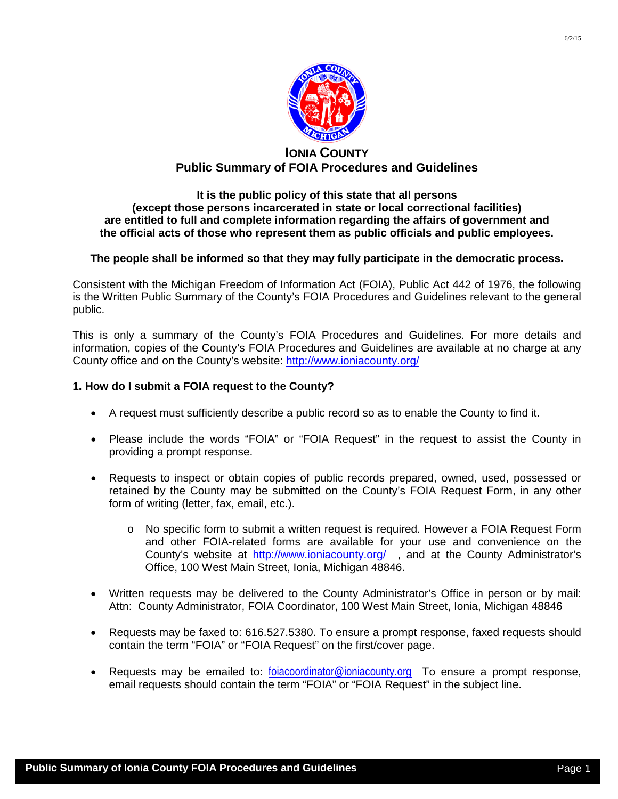

# **IONIA COUNTY Public Summary of FOIA Procedures and Guidelines**

### **It is the public policy of this state that all persons (except those persons incarcerated in state or local correctional facilities) are entitled to full and complete information regarding the affairs of government and the official acts of those who represent them as public officials and public employees.**

## **The people shall be informed so that they may fully participate in the democratic process.**

Consistent with the Michigan Freedom of Information Act (FOIA), Public Act 442 of 1976, the following is the Written Public Summary of the County's FOIA Procedures and Guidelines relevant to the general public.

This is only a summary of the County's FOIA Procedures and Guidelines. For more details and information, copies of the County's FOIA Procedures and Guidelines are available at no charge at any County office and on the County's website:<http://www.ioniacounty.org/>

### **1. How do I submit a FOIA request to the County?**

- A request must sufficiently describe a public record so as to enable the County to find it.
- Please include the words "FOIA" or "FOIA Request" in the request to assist the County in providing a prompt response.
- Requests to inspect or obtain copies of public records prepared, owned, used, possessed or retained by the County may be submitted on the County's FOIA Request Form, in any other form of writing (letter, fax, email, etc.).
	- o No specific form to submit a written request is required. However a FOIA Request Form and other FOIA-related forms are available for your use and convenience on the County's website at <http://www.ioniacounty.org/>, and at the County Administrator's Office, 100 West Main Street, Ionia, Michigan 48846.
- Written requests may be delivered to the County Administrator's Office in person or by mail: Attn: County Administrator, FOIA Coordinator, 100 West Main Street, Ionia, Michigan 48846
- Requests may be faxed to: 616.527.5380. To ensure a prompt response, faxed requests should contain the term "FOIA" or "FOIA Request" on the first/cover page.
- Requests may be emailed to: [foiacoordinator@ioniacounty.org](mailto:foiacoordinator@ioniacounty.org) To ensure a prompt response, email requests should contain the term "FOIA" or "FOIA Request" in the subject line.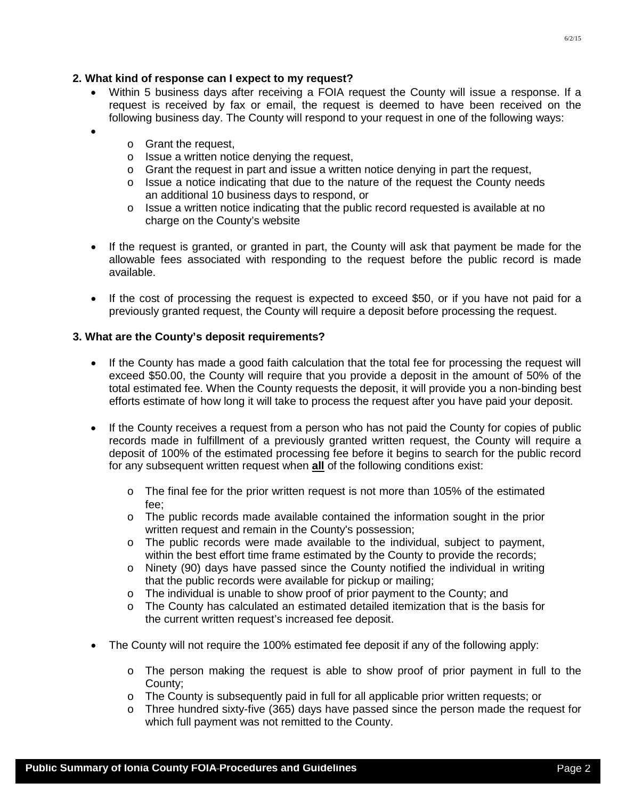## **2. What kind of response can I expect to my request?**

- Within 5 business days after receiving a FOIA request the County will issue a response. If a request is received by fax or email, the request is deemed to have been received on the following business day. The County will respond to your request in one of the following ways:
	- o Grant the request,

•

- $\circ$  Issue a written notice denving the request.
- $\circ$  Grant the request in part and issue a written notice denying in part the request,
- $\circ$  Issue a notice indicating that due to the nature of the request the County needs an additional 10 business days to respond, or
- $\circ$  Issue a written notice indicating that the public record requested is available at no charge on the County's website
- If the request is granted, or granted in part, the County will ask that payment be made for the allowable fees associated with responding to the request before the public record is made available.
- If the cost of processing the request is expected to exceed \$50, or if you have not paid for a previously granted request, the County will require a deposit before processing the request.

### **3. What are the County's deposit requirements?**

- If the County has made a good faith calculation that the total fee for processing the request will exceed \$50.00, the County will require that you provide a deposit in the amount of 50% of the total estimated fee. When the County requests the deposit, it will provide you a non-binding best efforts estimate of how long it will take to process the request after you have paid your deposit.
- If the County receives a request from a person who has not paid the County for copies of public records made in fulfillment of a previously granted written request, the County will require a deposit of 100% of the estimated processing fee before it begins to search for the public record for any subsequent written request when **all** of the following conditions exist:
	- o The final fee for the prior written request is not more than 105% of the estimated fee;
	- o The public records made available contained the information sought in the prior written request and remain in the County's possession:
	- o The public records were made available to the individual, subject to payment, within the best effort time frame estimated by the County to provide the records;
	- $\circ$  Ninety (90) days have passed since the County notified the individual in writing that the public records were available for pickup or mailing;
	- o The individual is unable to show proof of prior payment to the County; and
	- o The County has calculated an estimated detailed itemization that is the basis for the current written request's increased fee deposit.
- The County will not require the 100% estimated fee deposit if any of the following apply:
	- $\circ$  The person making the request is able to show proof of prior payment in full to the County;
	- o The County is subsequently paid in full for all applicable prior written requests; or
	- o Three hundred sixty-five (365) days have passed since the person made the request for which full payment was not remitted to the County.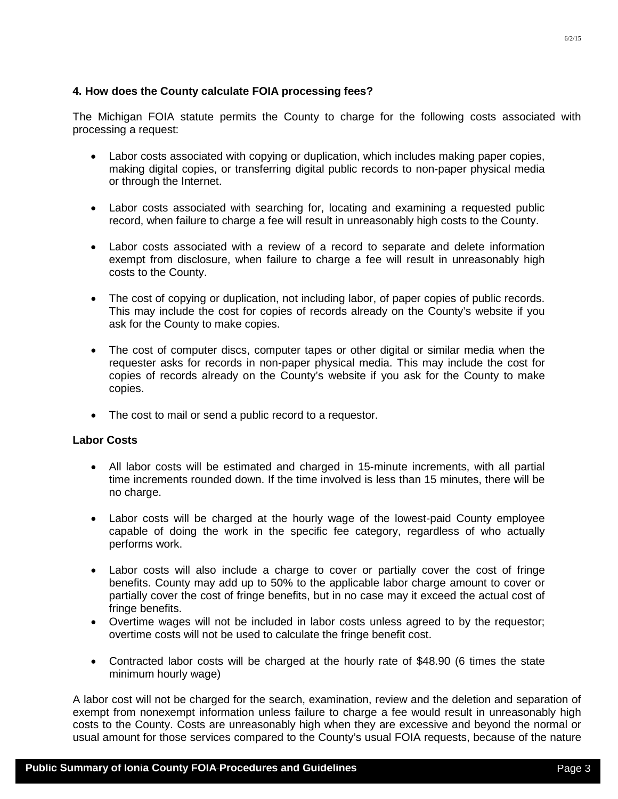### **4. How does the County calculate FOIA processing fees?**

The Michigan FOIA statute permits the County to charge for the following costs associated with processing a request:

- Labor costs associated with copying or duplication, which includes making paper copies, making digital copies, or transferring digital public records to non-paper physical media or through the Internet.
- Labor costs associated with searching for, locating and examining a requested public record, when failure to charge a fee will result in unreasonably high costs to the County.
- Labor costs associated with a review of a record to separate and delete information exempt from disclosure, when failure to charge a fee will result in unreasonably high costs to the County.
- The cost of copying or duplication, not including labor, of paper copies of public records. This may include the cost for copies of records already on the County's website if you ask for the County to make copies.
- The cost of computer discs, computer tapes or other digital or similar media when the requester asks for records in non-paper physical media. This may include the cost for copies of records already on the County's website if you ask for the County to make copies.
- The cost to mail or send a public record to a requestor.

### **Labor Costs**

- All labor costs will be estimated and charged in 15-minute increments, with all partial time increments rounded down. If the time involved is less than 15 minutes, there will be no charge.
- Labor costs will be charged at the hourly wage of the lowest-paid County employee capable of doing the work in the specific fee category, regardless of who actually performs work.
- Labor costs will also include a charge to cover or partially cover the cost of fringe benefits. County may add up to 50% to the applicable labor charge amount to cover or partially cover the cost of fringe benefits, but in no case may it exceed the actual cost of fringe benefits.
- Overtime wages will not be included in labor costs unless agreed to by the requestor; overtime costs will not be used to calculate the fringe benefit cost.
- Contracted labor costs will be charged at the hourly rate of \$48.90 (6 times the state minimum hourly wage)

A labor cost will not be charged for the search, examination, review and the deletion and separation of exempt from nonexempt information unless failure to charge a fee would result in unreasonably high costs to the County. Costs are unreasonably high when they are excessive and beyond the normal or usual amount for those services compared to the County's usual FOIA requests, because of the nature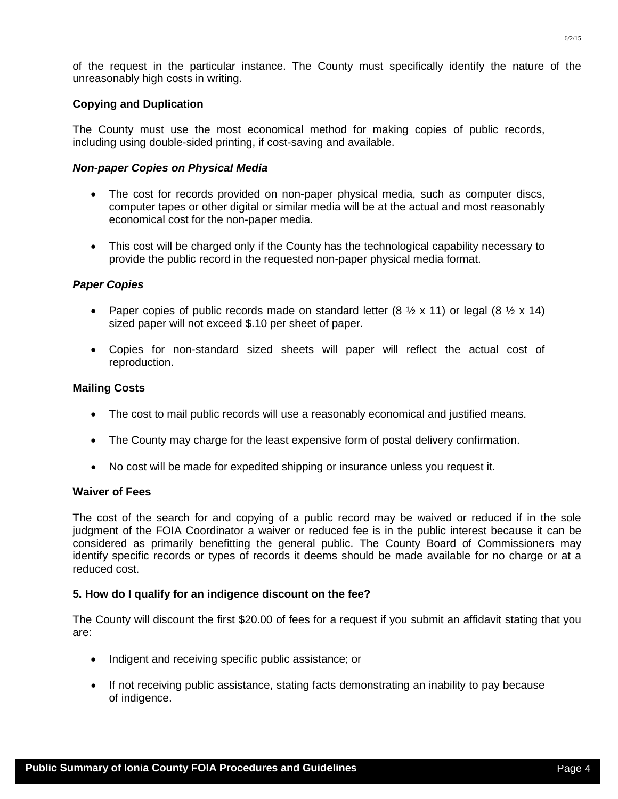of the request in the particular instance. The County must specifically identify the nature of the

The County must use the most economical method for making copies of public records, including using double-sided printing, if cost-saving and available.

#### *Non-paper Copies on Physical Media*

unreasonably high costs in writing.

- The cost for records provided on non-paper physical media, such as computer discs, computer tapes or other digital or similar media will be at the actual and most reasonably economical cost for the non-paper media.
- This cost will be charged only if the County has the technological capability necessary to provide the public record in the requested non-paper physical media format.

#### *Paper Copies*

- Paper copies of public records made on standard letter  $(8 \frac{1}{2} \times 11)$  or legal  $(8 \frac{1}{2} \times 14)$ sized paper will not exceed \$.10 per sheet of paper.
- Copies for non-standard sized sheets will paper will reflect the actual cost of reproduction.

### **Mailing Costs**

- The cost to mail public records will use a reasonably economical and justified means.
- The County may charge for the least expensive form of postal delivery confirmation.
- No cost will be made for expedited shipping or insurance unless you request it.

#### **Waiver of Fees**

The cost of the search for and copying of a public record may be waived or reduced if in the sole judgment of the FOIA Coordinator a waiver or reduced fee is in the public interest because it can be considered as primarily benefitting the general public. The County Board of Commissioners may identify specific records or types of records it deems should be made available for no charge or at a reduced cost.

### **5. How do I qualify for an indigence discount on the fee?**

The County will discount the first \$20.00 of fees for a request if you submit an affidavit stating that you are:

- Indigent and receiving specific public assistance; or
- If not receiving public assistance, stating facts demonstrating an inability to pay because of indigence.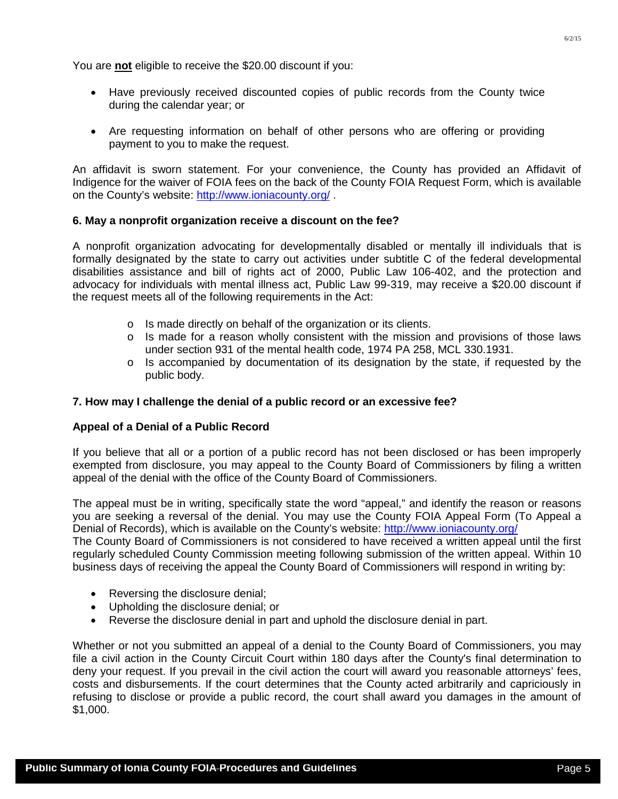You are **not** eligible to receive the \$20.00 discount if you:

- Have previously received discounted copies of public records from the County twice during the calendar year; or
- Are requesting information on behalf of other persons who are offering or providing payment to you to make the request.

An affidavit is sworn statement. For your convenience, the County has provided an Affidavit of Indigence for the waiver of FOIA fees on the back of the County FOIA Request Form, which is available on the County's website:<http://www.ioniacounty.org/> .

## **6. May a nonprofit organization receive a discount on the fee?**

A nonprofit organization advocating for developmentally disabled or mentally ill individuals that is formally designated by the state to carry out activities under subtitle C of the federal developmental disabilities assistance and bill of rights act of 2000, Public Law 106-402, and the protection and advocacy for individuals with mental illness act, Public Law 99-319, may receive a \$20.00 discount if the request meets all of the following requirements in the Act:

- o Is made directly on behalf of the organization or its clients.
- $\circ$  Is made for a reason wholly consistent with the mission and provisions of those laws under section 931 of the mental health code, 1974 PA 258, MCL 330.1931.
- o Is accompanied by documentation of its designation by the state, if requested by the public body.

## **7. How may I challenge the denial of a public record or an excessive fee?**

### **Appeal of a Denial of a Public Record**

If you believe that all or a portion of a public record has not been disclosed or has been improperly exempted from disclosure, you may appeal to the County Board of Commissioners by filing a written appeal of the denial with the office of the County Board of Commissioners.

The appeal must be in writing, specifically state the word "appeal," and identify the reason or reasons you are seeking a reversal of the denial. You may use the County FOIA Appeal Form (To Appeal a Denial of Records), which is available on the County's website:<http://www.ioniacounty.org/>

The County Board of Commissioners is not considered to have received a written appeal until the first regularly scheduled County Commission meeting following submission of the written appeal. Within 10 business days of receiving the appeal the County Board of Commissioners will respond in writing by:

- Reversing the disclosure denial;
- Upholding the disclosure denial; or
- Reverse the disclosure denial in part and uphold the disclosure denial in part.

Whether or not you submitted an appeal of a denial to the County Board of Commissioners, you may file a civil action in the County Circuit Court within 180 days after the County's final determination to deny your request. If you prevail in the civil action the court will award you reasonable attorneys' fees, costs and disbursements. If the court determines that the County acted arbitrarily and capriciously in refusing to disclose or provide a public record, the court shall award you damages in the amount of \$1,000.